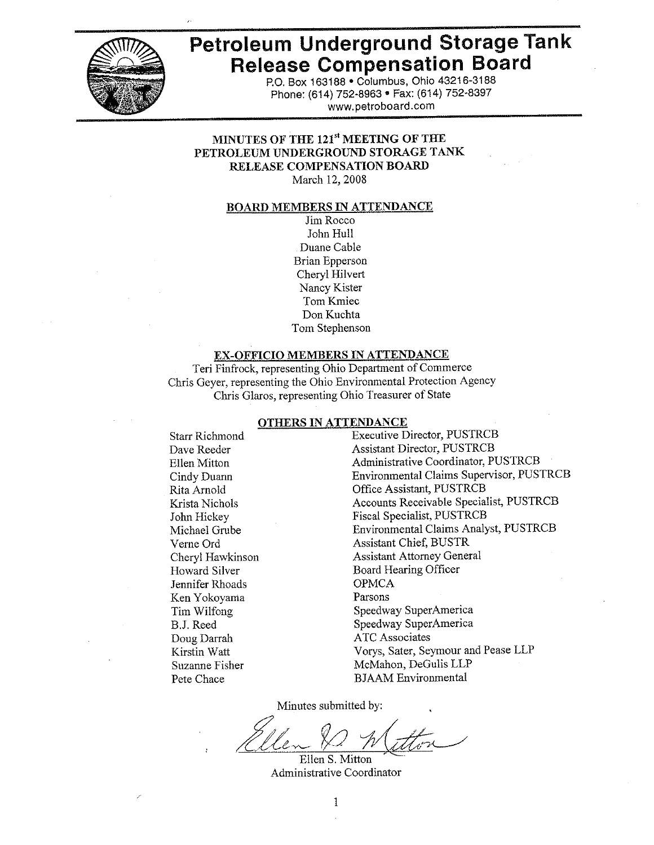

# Petroleum Underground Storage Tank **Release Compensation Board**

P.O. Box 163188 . Columbus, Ohio 43216-3188 Phone: (614) 752-8963 · Fax: (614) 752-8397 www.petroboard.com

#### MINUTES OF THE 121st MEETING OF THE PETROLEUM UNDERGROUND STORAGE TANK RELEASE COMPENSATION BOARD March 12, 2008

#### **BOARD MEMBERS IN ATTENDANCE**

Jim Rocco John Hull Duane Cable **Brian Epperson** Cheryl Hilvert Nancy Kister Tom Kmiec Don Kuchta Tom Stephenson

#### **EX-OFFICIO MEMBERS IN ATTENDANCE**

Teri Finfrock, representing Ohio Department of Commerce Chris Geyer, representing the Ohio Environmental Protection Agency Chris Glaros, representing Ohio Treasurer of State

#### **OTHERS IN ATTENDANCE**

**Starr Richmond** Dave Reeder Ellen Mitton Cindy Duann Rita Arnold Krista Nichols John Hickey Michael Grube Verne Ord Cheryl Hawkinson Howard Silver Jennifer Rhoads Ken Yokoyama Tim Wilfong B.J. Reed Doug Darrah Kirstin Watt Suzanne Fisher Pete Chace

**Executive Director, PUSTRCB Assistant Director, PUSTRCB** Administrative Coordinator, PUSTRCB Environmental Claims Supervisor, PUSTRCB Office Assistant, PUSTRCB Accounts Receivable Specialist, PUSTRCB **Fiscal Specialist, PUSTRCB** Environmental Claims Analyst, PUSTRCB **Assistant Chief, BUSTR Assistant Attorney General** Board Hearing Officer **OPMCA** Parsons Speedway SuperAmerica Speedway SuperAmerica **ATC** Associates Vorys, Sater, Seymour and Pease LLP McMahon, DeGulis LLP **BJAAM** Environmental

Minutes submitted by:

Ellen S. Mitton Administrative Coordinator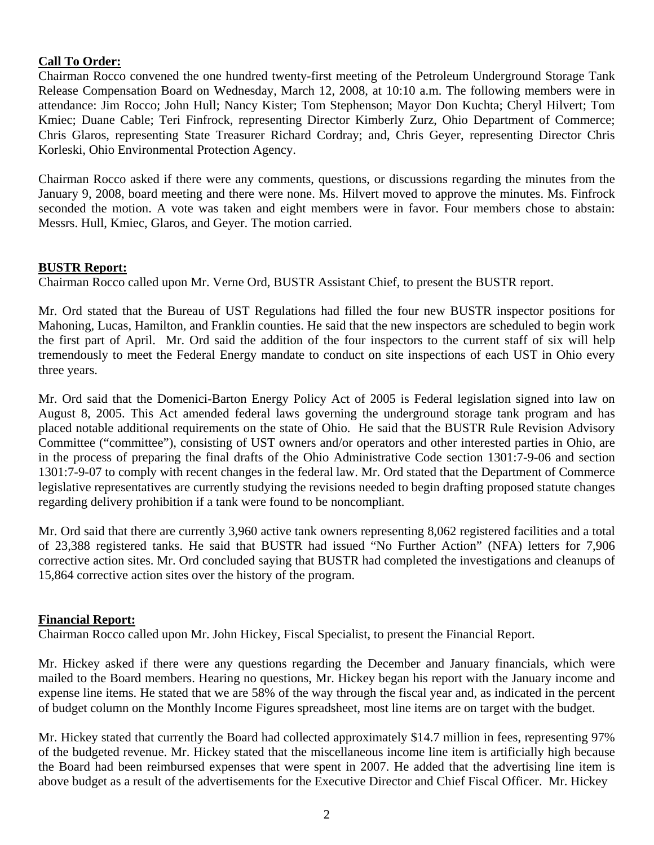# **Call To Order:**

Chairman Rocco convened the one hundred twenty-first meeting of the Petroleum Underground Storage Tank Release Compensation Board on Wednesday, March 12, 2008, at 10:10 a.m. The following members were in attendance: Jim Rocco; John Hull; Nancy Kister; Tom Stephenson; Mayor Don Kuchta; Cheryl Hilvert; Tom Kmiec; Duane Cable; Teri Finfrock, representing Director Kimberly Zurz, Ohio Department of Commerce; Chris Glaros, representing State Treasurer Richard Cordray; and, Chris Geyer, representing Director Chris Korleski, Ohio Environmental Protection Agency.

Chairman Rocco asked if there were any comments, questions, or discussions regarding the minutes from the January 9, 2008, board meeting and there were none. Ms. Hilvert moved to approve the minutes. Ms. Finfrock seconded the motion. A vote was taken and eight members were in favor. Four members chose to abstain: Messrs. Hull, Kmiec, Glaros, and Geyer. The motion carried.

# **BUSTR Report:**

Chairman Rocco called upon Mr. Verne Ord, BUSTR Assistant Chief, to present the BUSTR report.

Mr. Ord stated that the Bureau of UST Regulations had filled the four new BUSTR inspector positions for Mahoning, Lucas, Hamilton, and Franklin counties. He said that the new inspectors are scheduled to begin work the first part of April. Mr. Ord said the addition of the four inspectors to the current staff of six will help tremendously to meet the Federal Energy mandate to conduct on site inspections of each UST in Ohio every three years.

Mr. Ord said that the Domenici-Barton Energy Policy Act of 2005 is Federal legislation signed into law on August 8, 2005. This Act amended federal laws governing the underground storage tank program and has placed notable additional requirements on the state of Ohio. He said that the BUSTR Rule Revision Advisory Committee ("committee"), consisting of UST owners and/or operators and other interested parties in Ohio, are in the process of preparing the final drafts of the Ohio Administrative Code section 1301:7-9-06 and section 1301:7-9-07 to comply with recent changes in the federal law. Mr. Ord stated that the Department of Commerce legislative representatives are currently studying the revisions needed to begin drafting proposed statute changes regarding delivery prohibition if a tank were found to be noncompliant.

Mr. Ord said that there are currently 3,960 active tank owners representing 8,062 registered facilities and a total of 23,388 registered tanks. He said that BUSTR had issued "No Further Action" (NFA) letters for 7,906 corrective action sites. Mr. Ord concluded saying that BUSTR had completed the investigations and cleanups of 15,864 corrective action sites over the history of the program.

#### **Financial Report:**

Chairman Rocco called upon Mr. John Hickey, Fiscal Specialist, to present the Financial Report.

Mr. Hickey asked if there were any questions regarding the December and January financials, which were mailed to the Board members. Hearing no questions, Mr. Hickey began his report with the January income and expense line items. He stated that we are 58% of the way through the fiscal year and, as indicated in the percent of budget column on the Monthly Income Figures spreadsheet, most line items are on target with the budget.

Mr. Hickey stated that currently the Board had collected approximately \$14.7 million in fees, representing 97% of the budgeted revenue. Mr. Hickey stated that the miscellaneous income line item is artificially high because the Board had been reimbursed expenses that were spent in 2007. He added that the advertising line item is above budget as a result of the advertisements for the Executive Director and Chief Fiscal Officer. Mr. Hickey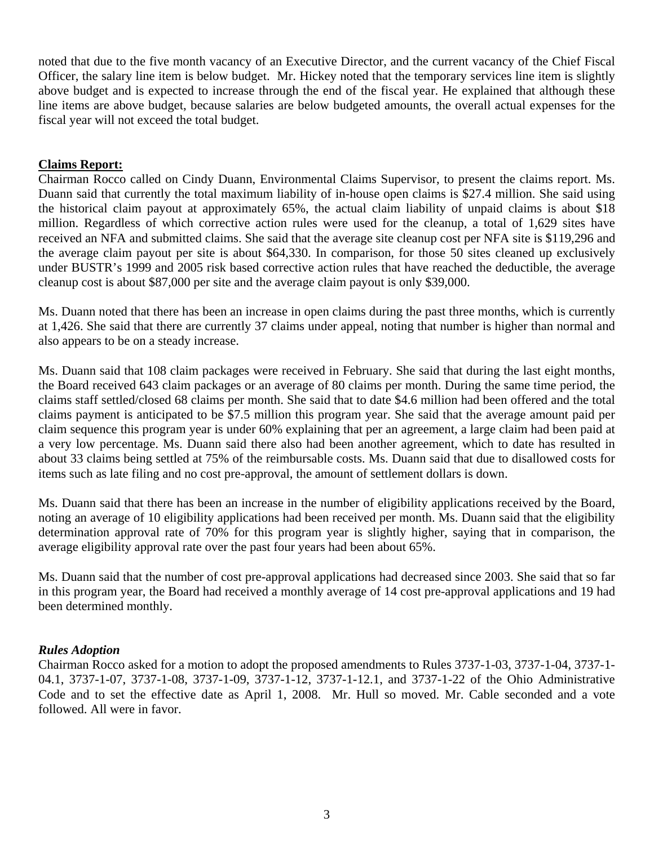noted that due to the five month vacancy of an Executive Director, and the current vacancy of the Chief Fiscal Officer, the salary line item is below budget. Mr. Hickey noted that the temporary services line item is slightly above budget and is expected to increase through the end of the fiscal year. He explained that although these line items are above budget, because salaries are below budgeted amounts, the overall actual expenses for the fiscal year will not exceed the total budget.

# **Claims Report:**

Chairman Rocco called on Cindy Duann, Environmental Claims Supervisor, to present the claims report. Ms. Duann said that currently the total maximum liability of in-house open claims is \$27.4 million. She said using the historical claim payout at approximately 65%, the actual claim liability of unpaid claims is about \$18 million. Regardless of which corrective action rules were used for the cleanup, a total of 1,629 sites have received an NFA and submitted claims. She said that the average site cleanup cost per NFA site is \$119,296 and the average claim payout per site is about \$64,330. In comparison, for those 50 sites cleaned up exclusively under BUSTR's 1999 and 2005 risk based corrective action rules that have reached the deductible, the average cleanup cost is about \$87,000 per site and the average claim payout is only \$39,000.

Ms. Duann noted that there has been an increase in open claims during the past three months, which is currently at 1,426. She said that there are currently 37 claims under appeal, noting that number is higher than normal and also appears to be on a steady increase.

Ms. Duann said that 108 claim packages were received in February. She said that during the last eight months, the Board received 643 claim packages or an average of 80 claims per month. During the same time period, the claims staff settled/closed 68 claims per month. She said that to date \$4.6 million had been offered and the total claims payment is anticipated to be \$7.5 million this program year. She said that the average amount paid per claim sequence this program year is under 60% explaining that per an agreement, a large claim had been paid at a very low percentage. Ms. Duann said there also had been another agreement, which to date has resulted in about 33 claims being settled at 75% of the reimbursable costs. Ms. Duann said that due to disallowed costs for items such as late filing and no cost pre-approval, the amount of settlement dollars is down.

Ms. Duann said that there has been an increase in the number of eligibility applications received by the Board, noting an average of 10 eligibility applications had been received per month. Ms. Duann said that the eligibility determination approval rate of 70% for this program year is slightly higher, saying that in comparison, the average eligibility approval rate over the past four years had been about 65%.

Ms. Duann said that the number of cost pre-approval applications had decreased since 2003. She said that so far in this program year, the Board had received a monthly average of 14 cost pre-approval applications and 19 had been determined monthly.

# *Rules Adoption*

Chairman Rocco asked for a motion to adopt the proposed amendments to Rules 3737-1-03, 3737-1-04, 3737-1- 04.1, 3737-1-07, 3737-1-08, 3737-1-09, 3737-1-12, 3737-1-12.1, and 3737-1-22 of the Ohio Administrative Code and to set the effective date as April 1, 2008. Mr. Hull so moved. Mr. Cable seconded and a vote followed. All were in favor.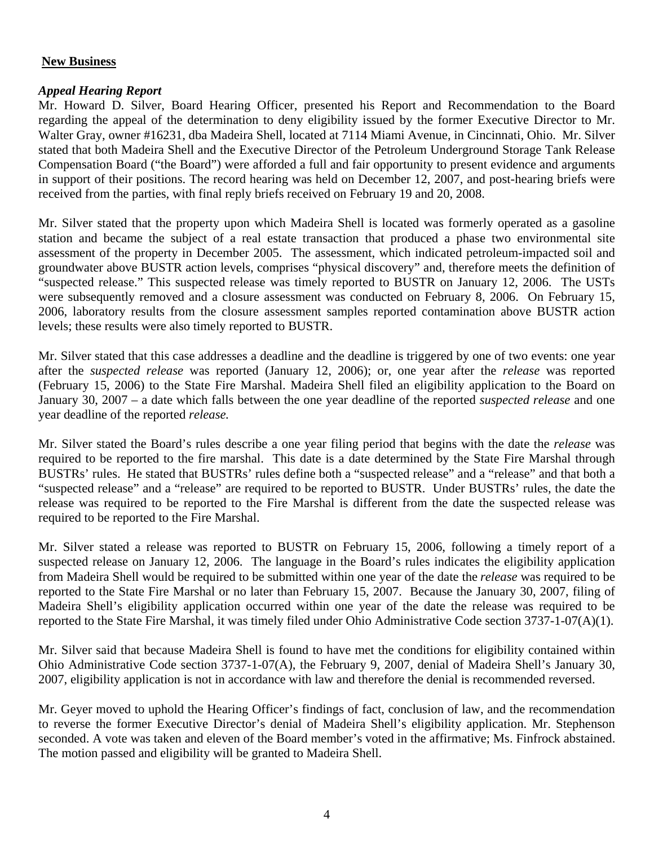# **New Business**

# *Appeal Hearing Report*

Mr. Howard D. Silver, Board Hearing Officer, presented his Report and Recommendation to the Board regarding the appeal of the determination to deny eligibility issued by the former Executive Director to Mr. Walter Gray, owner #16231, dba Madeira Shell, located at 7114 Miami Avenue, in Cincinnati, Ohio. Mr. Silver stated that both Madeira Shell and the Executive Director of the Petroleum Underground Storage Tank Release Compensation Board ("the Board") were afforded a full and fair opportunity to present evidence and arguments in support of their positions. The record hearing was held on December 12, 2007, and post-hearing briefs were received from the parties, with final reply briefs received on February 19 and 20, 2008.

Mr. Silver stated that the property upon which Madeira Shell is located was formerly operated as a gasoline station and became the subject of a real estate transaction that produced a phase two environmental site assessment of the property in December 2005. The assessment, which indicated petroleum-impacted soil and groundwater above BUSTR action levels, comprises "physical discovery" and, therefore meets the definition of "suspected release." This suspected release was timely reported to BUSTR on January 12, 2006. The USTs were subsequently removed and a closure assessment was conducted on February 8, 2006. On February 15, 2006, laboratory results from the closure assessment samples reported contamination above BUSTR action levels; these results were also timely reported to BUSTR.

Mr. Silver stated that this case addresses a deadline and the deadline is triggered by one of two events: one year after the *suspected release* was reported (January 12, 2006); or, one year after the *release* was reported (February 15, 2006) to the State Fire Marshal. Madeira Shell filed an eligibility application to the Board on January 30, 2007 – a date which falls between the one year deadline of the reported *suspected release* and one year deadline of the reported *release.* 

Mr. Silver stated the Board's rules describe a one year filing period that begins with the date the *release* was required to be reported to the fire marshal. This date is a date determined by the State Fire Marshal through BUSTRs' rules. He stated that BUSTRs' rules define both a "suspected release" and a "release" and that both a "suspected release" and a "release" are required to be reported to BUSTR. Under BUSTRs' rules, the date the release was required to be reported to the Fire Marshal is different from the date the suspected release was required to be reported to the Fire Marshal.

Mr. Silver stated a release was reported to BUSTR on February 15, 2006, following a timely report of a suspected release on January 12, 2006. The language in the Board's rules indicates the eligibility application from Madeira Shell would be required to be submitted within one year of the date the *release* was required to be reported to the State Fire Marshal or no later than February 15, 2007. Because the January 30, 2007, filing of Madeira Shell's eligibility application occurred within one year of the date the release was required to be reported to the State Fire Marshal, it was timely filed under Ohio Administrative Code section 3737-1-07(A)(1).

Mr. Silver said that because Madeira Shell is found to have met the conditions for eligibility contained within Ohio Administrative Code section 3737-1-07(A), the February 9, 2007, denial of Madeira Shell's January 30, 2007, eligibility application is not in accordance with law and therefore the denial is recommended reversed.

Mr. Geyer moved to uphold the Hearing Officer's findings of fact, conclusion of law, and the recommendation to reverse the former Executive Director's denial of Madeira Shell's eligibility application. Mr. Stephenson seconded. A vote was taken and eleven of the Board member's voted in the affirmative; Ms. Finfrock abstained. The motion passed and eligibility will be granted to Madeira Shell.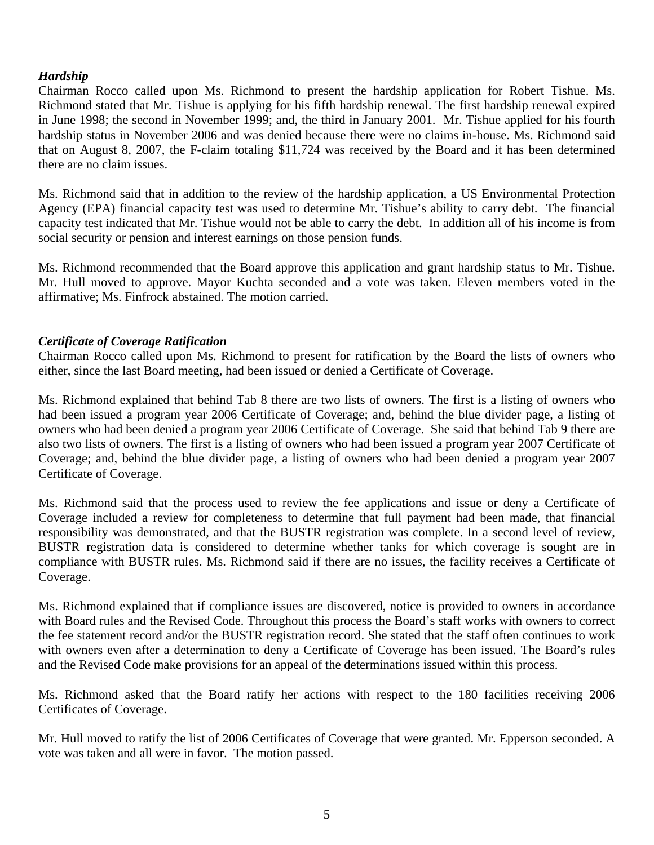# *Hardship*

Chairman Rocco called upon Ms. Richmond to present the hardship application for Robert Tishue. Ms. Richmond stated that Mr. Tishue is applying for his fifth hardship renewal. The first hardship renewal expired in June 1998; the second in November 1999; and, the third in January 2001. Mr. Tishue applied for his fourth hardship status in November 2006 and was denied because there were no claims in-house. Ms. Richmond said that on August 8, 2007, the F-claim totaling \$11,724 was received by the Board and it has been determined there are no claim issues.

Ms. Richmond said that in addition to the review of the hardship application, a US Environmental Protection Agency (EPA) financial capacity test was used to determine Mr. Tishue's ability to carry debt. The financial capacity test indicated that Mr. Tishue would not be able to carry the debt. In addition all of his income is from social security or pension and interest earnings on those pension funds.

Ms. Richmond recommended that the Board approve this application and grant hardship status to Mr. Tishue. Mr. Hull moved to approve. Mayor Kuchta seconded and a vote was taken. Eleven members voted in the affirmative; Ms. Finfrock abstained. The motion carried.

#### *Certificate of Coverage Ratification*

Chairman Rocco called upon Ms. Richmond to present for ratification by the Board the lists of owners who either, since the last Board meeting, had been issued or denied a Certificate of Coverage.

Ms. Richmond explained that behind Tab 8 there are two lists of owners. The first is a listing of owners who had been issued a program year 2006 Certificate of Coverage; and, behind the blue divider page, a listing of owners who had been denied a program year 2006 Certificate of Coverage. She said that behind Tab 9 there are also two lists of owners. The first is a listing of owners who had been issued a program year 2007 Certificate of Coverage; and, behind the blue divider page, a listing of owners who had been denied a program year 2007 Certificate of Coverage.

Ms. Richmond said that the process used to review the fee applications and issue or deny a Certificate of Coverage included a review for completeness to determine that full payment had been made, that financial responsibility was demonstrated, and that the BUSTR registration was complete. In a second level of review, BUSTR registration data is considered to determine whether tanks for which coverage is sought are in compliance with BUSTR rules. Ms. Richmond said if there are no issues, the facility receives a Certificate of Coverage.

Ms. Richmond explained that if compliance issues are discovered, notice is provided to owners in accordance with Board rules and the Revised Code. Throughout this process the Board's staff works with owners to correct the fee statement record and/or the BUSTR registration record. She stated that the staff often continues to work with owners even after a determination to deny a Certificate of Coverage has been issued. The Board's rules and the Revised Code make provisions for an appeal of the determinations issued within this process.

Ms. Richmond asked that the Board ratify her actions with respect to the 180 facilities receiving 2006 Certificates of Coverage.

Mr. Hull moved to ratify the list of 2006 Certificates of Coverage that were granted. Mr. Epperson seconded. A vote was taken and all were in favor. The motion passed.